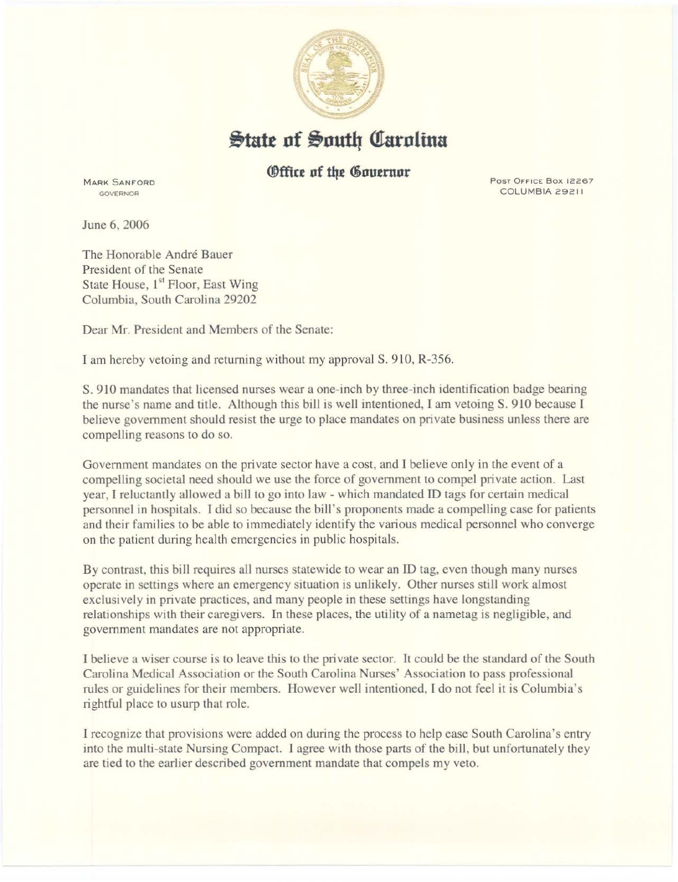

**State of South Carolina** 

## *<u>@ffice</u>* of the Governor

MARK SANFORD GOVERNOR

Post Office Box 12267 COLUMBIA 29211

June 6, 2006

The Honorable André Bauer President of the Senate State House, 1<sup>st</sup> Floor, East Wing Columbia, South Carolina 29202

Dear Mr. President and Members of the Senate:

I am hereby vetoing and returning without my approval S. 910, R-356.

S. 910 mandates that licensed nurses wear a one-inch by three-inch identification badge bearing the nurse's name and title. Although this bill is well intentioned, I am vetoing S. 910 because I believe government should resist the urge to place mandates on private business unless there are compelling reasons to do so.

Government mandates on the private sector have a cost, and I believe only in the event of a compelling societal need should we use the force of government to compel private action. Last year, I reluctantly allowed a bill to go into law - which mandated ID tags for certain medical personnel in hospitals. I did so because the bill's proponents made a compelling case for patients and their families to be able to immediately identify the various medical personnel who converge on the patient during health emergencies in public hospitals.

By contrast, this bill requires all nurses statewide to wear an ID tag, even though many nurses operate in settings where an emergency situation is unlikely. Other nurses still work almost exclusively in private practices, and many people in these settings have longstanding relationships with their caregivers. In these places, the utility of a nametag is negligible, and government mandates are not appropriate.

I believe a wiser course is to leave this to the private sector. It could be the standard of the South Carolina Medical Association or the South Carolina Nurses' Association to pass professional rules or guidelines for their members. However well intentioned, I do not feel it is Columbia's rightful place to usurp that role.

I recognize that provisions were added on during the process to help ease South Carolina's entry into the multi-state Nursing Compact. I agree with those parts of the bill, but unfortunately they are tied to the earlier described government mandate that compels my veto.